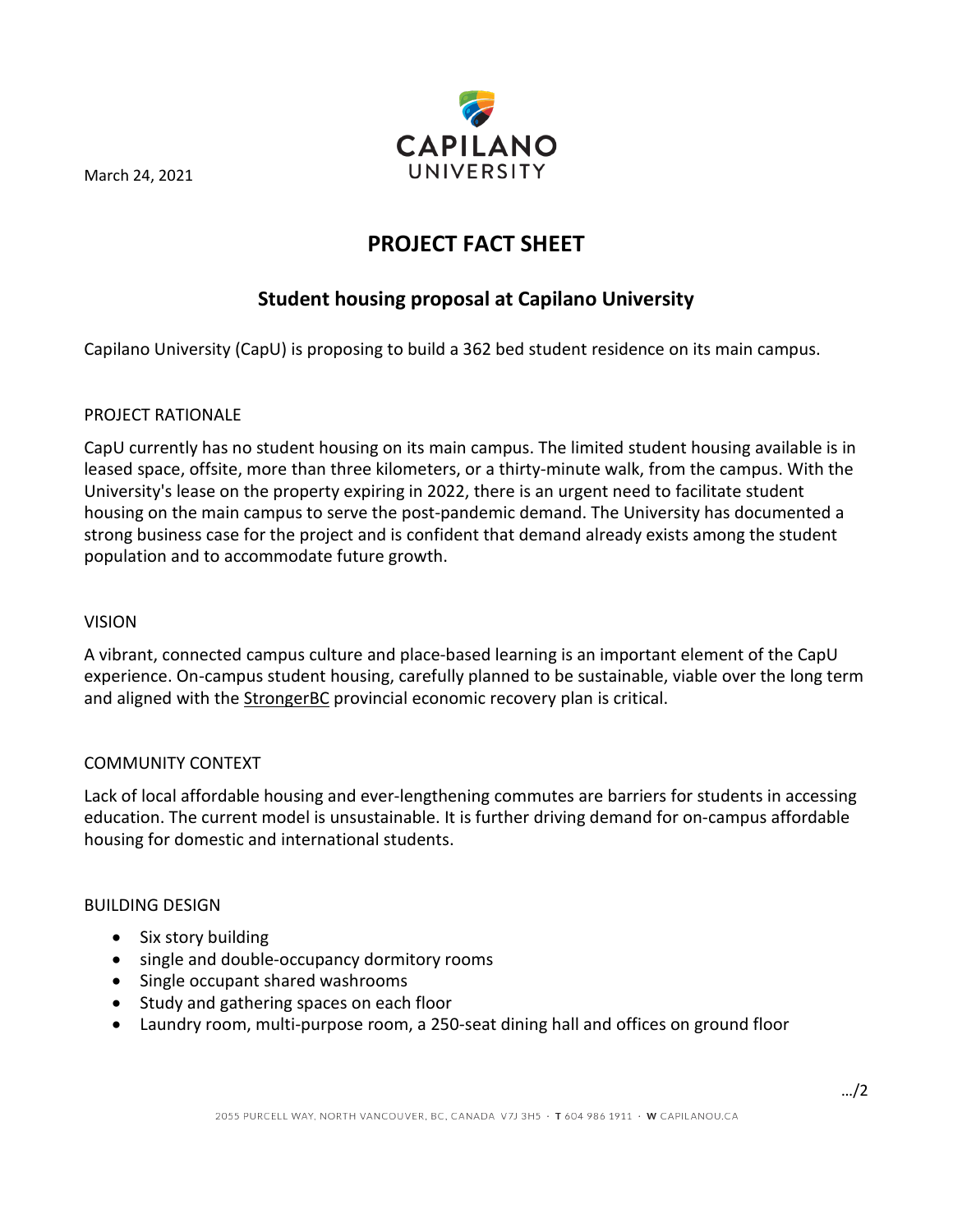March 24, 2021



# **PROJECT FACT SHEET**

## **Student housing proposal at Capilano University**

Capilano University (CapU) is proposing to build a 362 bed student residence on its main campus.

## PROJECT RATIONALE

CapU currently has no student housing on its main campus. The limited student housing available is in leased space, offsite, more than three kilometers, or a thirty-minute walk, from the campus. With the University's lease on the property expiring in 2022, there is an urgent need to facilitate student housing on the main campus to serve the post-pandemic demand. The University has documented a strong business case for the project and is confident that demand already exists among the student population and to accommodate future growth.

## VISION

A vibrant, connected campus culture and place-based learning is an important element of the CapU experience. On-campus student housing, carefully planned to be sustainable, viable over the long term and aligned with th[e StrongerBC](https://strongerbc.gov.bc.ca/) provincial economic recovery plan is critical.

## COMMUNITY CONTEXT

Lack of local affordable housing and ever-lengthening commutes are barriers for students in accessing education. The current model is unsustainable. It is further driving demand for on-campus affordable housing for domestic and international students.

#### BUILDING DESIGN

- Six story building
- single and double-occupancy dormitory rooms
- Single occupant shared washrooms
- Study and gathering spaces on each floor
- Laundry room, multi-purpose room, a 250-seat dining hall and offices on ground floor